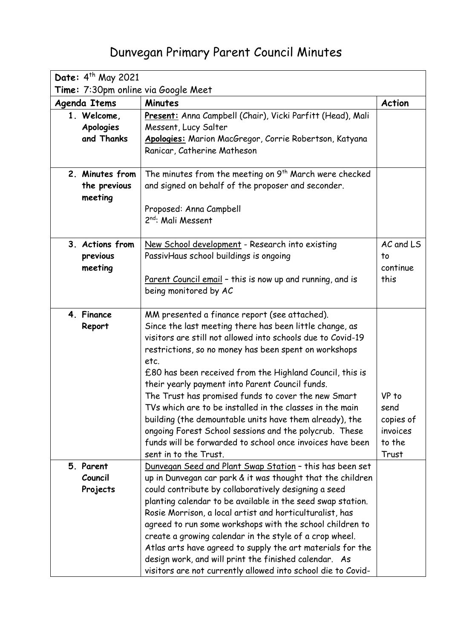## Dunvegan Primary Parent Council Minutes

| Date: 4 <sup>th</sup> May 2021             |                                                                                                                                                                                                                                                                                                                                                                                                                                                                                                                                                                                                                                                                                       |                                                           |  |  |
|--------------------------------------------|---------------------------------------------------------------------------------------------------------------------------------------------------------------------------------------------------------------------------------------------------------------------------------------------------------------------------------------------------------------------------------------------------------------------------------------------------------------------------------------------------------------------------------------------------------------------------------------------------------------------------------------------------------------------------------------|-----------------------------------------------------------|--|--|
| Time: 7:30pm online via Google Meet        |                                                                                                                                                                                                                                                                                                                                                                                                                                                                                                                                                                                                                                                                                       |                                                           |  |  |
| <b>Agenda Items</b>                        | <b>Minutes</b>                                                                                                                                                                                                                                                                                                                                                                                                                                                                                                                                                                                                                                                                        | <b>Action</b>                                             |  |  |
| 1. Welcome,<br>Apologies<br>and Thanks     | Present: Anna Campbell (Chair), Vicki Parfitt (Head), Mali<br>Messent, Lucy Salter<br>Apologies: Marion MacGregor, Corrie Robertson, Katyana<br>Ranicar, Catherine Matheson                                                                                                                                                                                                                                                                                                                                                                                                                                                                                                           |                                                           |  |  |
| 2. Minutes from<br>the previous<br>meeting | The minutes from the meeting on 9 <sup>th</sup> March were checked<br>and signed on behalf of the proposer and seconder.<br>Proposed: Anna Campbell<br>2 <sup>nd</sup> : Mali Messent                                                                                                                                                                                                                                                                                                                                                                                                                                                                                                 |                                                           |  |  |
| 3. Actions from<br>previous<br>meeting     | New School development - Research into existing<br>PassivHaus school buildings is ongoing<br>Parent Council email - this is now up and running, and is<br>being monitored by AC                                                                                                                                                                                                                                                                                                                                                                                                                                                                                                       | AC and LS<br>to<br>continue<br>this                       |  |  |
| 4. Finance<br>Report                       | MM presented a finance report (see attached).<br>Since the last meeting there has been little change, as<br>visitors are still not allowed into schools due to Covid-19<br>restrictions, so no money has been spent on workshops<br>etc.<br>£80 has been received from the Highland Council, this is<br>their yearly payment into Parent Council funds.<br>The Trust has promised funds to cover the new Smart<br>TVs which are to be installed in the classes in the main<br>building (the demountable units have them already), the<br>ongoing Forest School sessions and the polycrub. These<br>funds will be forwarded to school once invoices have been<br>sent in to the Trust. | VP to<br>send<br>copies of<br>invoices<br>to the<br>Trust |  |  |
| 5. Parent<br>Council<br>Projects           | Dunvegan Seed and Plant Swap Station - this has been set<br>up in Dunvegan car park & it was thought that the children<br>could contribute by collaboratively designing a seed<br>planting calendar to be available in the seed swap station.<br>Rosie Morrison, a local artist and horticulturalist, has<br>agreed to run some workshops with the school children to<br>create a growing calendar in the style of a crop wheel.<br>Atlas arts have agreed to supply the art materials for the<br>design work, and will print the finished calendar. As<br>visitors are not currently allowed into school die to Covid-                                                               |                                                           |  |  |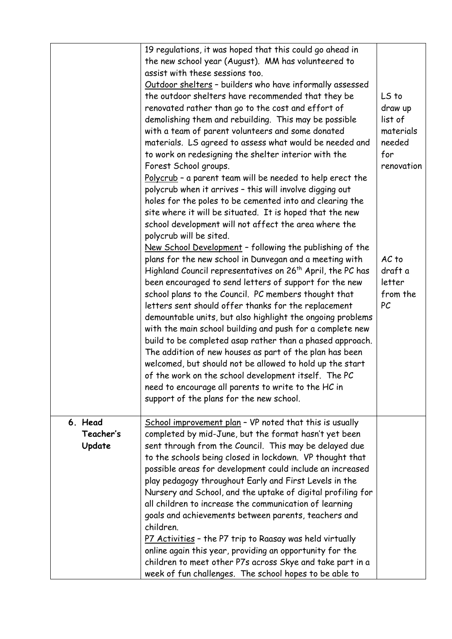|           | 19 regulations, it was hoped that this could go ahead in                                        |                  |
|-----------|-------------------------------------------------------------------------------------------------|------------------|
|           | the new school year (August). MM has volunteered to                                             |                  |
|           | assist with these sessions too.                                                                 |                  |
|           | Outdoor shelters - builders who have informally assessed                                        |                  |
|           | the outdoor shelters have recommended that they be                                              | LS to            |
|           | renovated rather than go to the cost and effort of                                              | draw up          |
|           | demolishing them and rebuilding. This may be possible                                           | list of          |
|           | with a team of parent volunteers and some donated                                               | materials        |
|           | materials. LS agreed to assess what would be needed and                                         | needed           |
|           | to work on redesigning the shelter interior with the                                            | for              |
|           | Forest School groups.                                                                           | renovation       |
|           | Polycrub - a parent team will be needed to help erect the                                       |                  |
|           | polycrub when it arrives - this will involve digging out                                        |                  |
|           | holes for the poles to be cemented into and clearing the                                        |                  |
|           | site where it will be situated. It is hoped that the new                                        |                  |
|           | school development will not affect the area where the                                           |                  |
|           | polycrub will be sited.                                                                         |                  |
|           | New School Development - following the publishing of the                                        |                  |
|           | plans for the new school in Dunvegan and a meeting with                                         | AC <sub>to</sub> |
|           | Highland Council representatives on 26 <sup>th</sup> April, the PC has                          | draft a          |
|           | been encouraged to send letters of support for the new                                          | letter           |
|           | school plans to the Council. PC members thought that                                            | from the         |
|           | letters sent should offer thanks for the replacement                                            | PC               |
|           | demountable units, but also highlight the ongoing problems                                      |                  |
|           | with the main school building and push for a complete new                                       |                  |
|           | build to be completed asap rather than a phased approach.                                       |                  |
|           | The addition of new houses as part of the plan has been                                         |                  |
|           | welcomed, but should not be allowed to hold up the start                                        |                  |
|           | of the work on the school development itself. The PC                                            |                  |
|           | need to encourage all parents to write to the HC in<br>support of the plans for the new school. |                  |
|           |                                                                                                 |                  |
| 6. Head   | School improvement plan - VP noted that this is usually                                         |                  |
| Teacher's | completed by mid-June, but the format hasn't yet been                                           |                  |
| Update    | sent through from the Council. This may be delayed due                                          |                  |
|           | to the schools being closed in lockdown. VP thought that                                        |                  |
|           | possible areas for development could include an increased                                       |                  |
|           | play pedagogy throughout Early and First Levels in the                                          |                  |
|           | Nursery and School, and the uptake of digital profiling for                                     |                  |
|           | all children to increase the communication of learning                                          |                  |
|           | goals and achievements between parents, teachers and                                            |                  |
|           | children.                                                                                       |                  |
|           | P7 Activities - the P7 trip to Raasay was held virtually                                        |                  |
|           | online again this year, providing an opportunity for the                                        |                  |
|           | children to meet other P7s across Skye and take part in a                                       |                  |
|           | week of fun challenges. The school hopes to be able to                                          |                  |